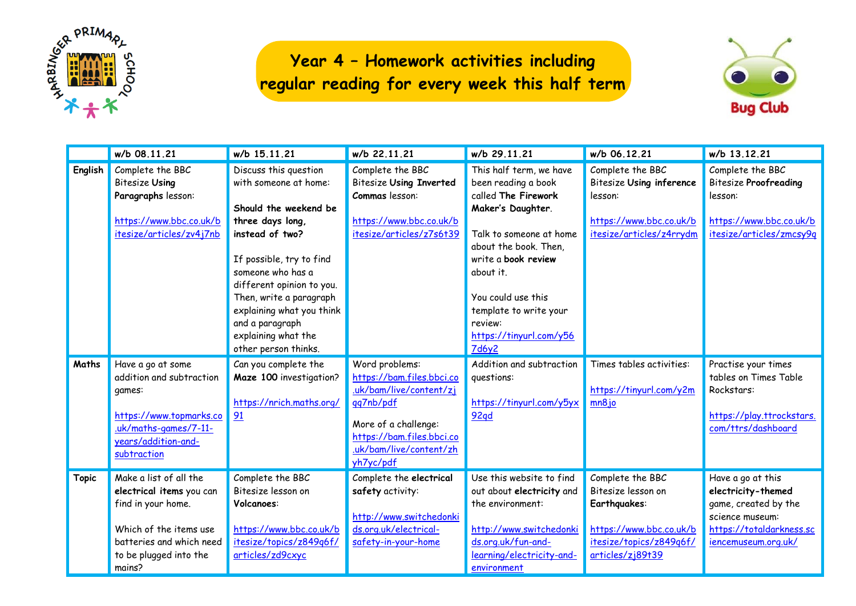

## **Year 4 – Homework activities including regular reading for every week this half term**



|              | w/b 08.11.21                                                                                                                                                       | w/b 15.11.21                                                                                                                                                                                                                                                                                                           | w/b 22.11.21                                                                                                                                                                     | w/b 29.11.21                                                                                                                                                                                                                                                                      | w/b 06.12.21                                                                                                                     | w/b 13.12.21                                                                                                                          |
|--------------|--------------------------------------------------------------------------------------------------------------------------------------------------------------------|------------------------------------------------------------------------------------------------------------------------------------------------------------------------------------------------------------------------------------------------------------------------------------------------------------------------|----------------------------------------------------------------------------------------------------------------------------------------------------------------------------------|-----------------------------------------------------------------------------------------------------------------------------------------------------------------------------------------------------------------------------------------------------------------------------------|----------------------------------------------------------------------------------------------------------------------------------|---------------------------------------------------------------------------------------------------------------------------------------|
| English      | Complete the BBC<br><b>Bitesize Using</b><br>Paragraphs lesson:<br>https://www.bbc.co.uk/b<br>itesize/articles/zv4j7nb                                             | Discuss this question<br>with someone at home:<br>Should the weekend be<br>three days long,<br>instead of two?<br>If possible, try to find<br>someone who has a<br>different opinion to you.<br>Then, write a paragraph<br>explaining what you think<br>and a paragraph<br>explaining what the<br>other person thinks. | Complete the BBC<br><b>Bitesize Using Inverted</b><br>Commas lesson:<br>https://www.bbc.co.uk/b<br>itesize/articles/z7s6t39                                                      | This half term, we have<br>been reading a book<br>called The Firework<br>Maker's Daughter.<br>Talk to someone at home<br>about the book. Then,<br>write a book review<br>about it.<br>You could use this<br>template to write your<br>review:<br>https://tinyurl.com/y56<br>7d6y2 | Complete the BBC<br><b>Bitesize Using inference</b><br>lesson:<br>https://www.bbc.co.uk/b<br>itesize/articles/z4rrydm            | Complete the BBC<br><b>Bitesize Proofreading</b><br>lesson:<br>https://www.bbc.co.uk/b<br>itesize/articles/zmcsy9q                    |
| Maths        | Have a go at some<br>addition and subtraction<br>games:<br>https://www.topmarks.co<br>.uk/maths-games/7-11-<br>years/addition-and-<br>subtraction                  | Can you complete the<br>Maze 100 investigation?<br>https://nrich.maths.org/<br>91                                                                                                                                                                                                                                      | Word problems:<br>https://bam.files.bbci.co<br>.uk/bam/live/content/zj<br>qq7nb/pdf<br>More of a challenge:<br>https://bam.files.bbci.co<br>.uk/bam/live/content/zh<br>yh7yc/pdf | Addition and subtraction<br>questions:<br>https://tinyurl.com/y5yx<br><b>92qd</b>                                                                                                                                                                                                 | Times tables activities:<br>https://tinyurl.com/y2m<br>mn8jo                                                                     | Practise your times<br>tables on Times Table<br>Rockstars:<br>https://play.ttrockstars.<br>com/ttrs/dashboard                         |
| <b>Topic</b> | Make a list of all the<br>electrical items you can<br>find in your home.<br>Which of the items use<br>batteries and which need<br>to be plugged into the<br>mains? | Complete the BBC<br>Bitesize lesson on<br>Volcanoes:<br>https://www.bbc.co.uk/b<br>itesize/topics/z849q6f/<br>articles/zd9cxyc                                                                                                                                                                                         | Complete the electrical<br>safety activity:<br>http://www.switchedonki<br>ds.org.uk/electrical-<br>safety-in-your-home                                                           | Use this website to find<br>out about electricity and<br>the environment:<br>http://www.switchedonki<br>ds.org.uk/fun-and-<br>learning/electricity-and-<br>environment                                                                                                            | Complete the BBC<br>Bitesize lesson on<br>Earthquakes:<br>https://www.bbc.co.uk/b<br>itesize/topics/z849q6f/<br>articles/zj89t39 | Have a go at this<br>electricity-themed<br>game, created by the<br>science museum:<br>https://totaldarkness.sc<br>iencemuseum.org.uk/ |